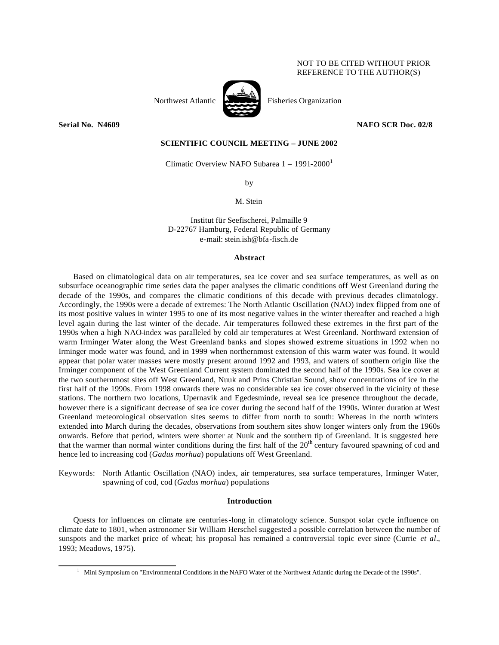# NOT TO BE CITED WITHOUT PRIOR REFERENCE TO THE AUTHOR(S)



**Serial No. N4609 NAFO SCR Doc. 02/8**

# **SCIENTIFIC COUNCIL MEETING – JUNE 2002**

Climatic Overview NAFO Subarea  $1 - 1991 - 2000$ <sup>1</sup>

by

M. Stein

Institut für Seefischerei, Palmaille 9 D-22767 Hamburg, Federal Republic of Germany e-mail: stein.ish@bfa-fisch.de

#### **Abstract**

Based on climatological data on air temperatures, sea ice cover and sea surface temperatures, as well as on subsurface oceanographic time series data the paper analyses the climatic conditions off West Greenland during the decade of the 1990s, and compares the climatic conditions of this decade with previous decades climatology. Accordingly, the 1990s were a decade of extremes: The North Atlantic Oscillation (NAO) index flipped from one of its most positive values in winter 1995 to one of its most negative values in the winter thereafter and reached a high level again during the last winter of the decade. Air temperatures followed these extremes in the first part of the 1990s when a high NAO-index was paralleled by cold air temperatures at West Greenland. Northward extension of warm Irminger Water along the West Greenland banks and slopes showed extreme situations in 1992 when no Irminger mode water was found, and in 1999 when northernmost extension of this warm water was found. It would appear that polar water masses were mostly present around 1992 and 1993, and waters of southern origin like the Irminger component of the West Greenland Current system dominated the second half of the 1990s. Sea ice cover at the two southernmost sites off West Greenland, Nuuk and Prins Christian Sound, show concentrations of ice in the first half of the 1990s. From 1998 onwards there was no considerable sea ice cover observed in the vicinity of these stations. The northern two locations, Upernavik and Egedesminde, reveal sea ice presence throughout the decade, however there is a significant decrease of sea ice cover during the second half of the 1990s. Winter duration at West Greenland meteorological observation sites seems to differ from north to south: Whereas in the north winters extended into March during the decades, observations from southern sites show longer winters only from the 1960s onwards. Before that period, winters were shorter at Nuuk and the southern tip of Greenland. It is suggested here that the warmer than normal winter conditions during the first half of the 20th century favoured spawning of cod and hence led to increasing cod (*Gadus morhua*) populations off West Greenland.

Keywords: North Atlantic Oscillation (NAO) index, air temperatures, sea surface temperatures, Irminger Water, spawning of cod, cod (*Gadus morhua*) populations

# **Introduction**

Quests for influences on climate are centuries-long in climatology science. Sunspot solar cycle influence on climate date to 1801, when astronomer Sir William Herschel suggested a possible correlation between the number of sunspots and the market price of wheat; his proposal has remained a controversial topic ever since (Currie *et al*., 1993; Meadows, 1975).

<sup>1</sup> Mini Symposium on "Environmental Conditions in the NAFO Water of the Northwest Atlantic during the Decade of the 1990s".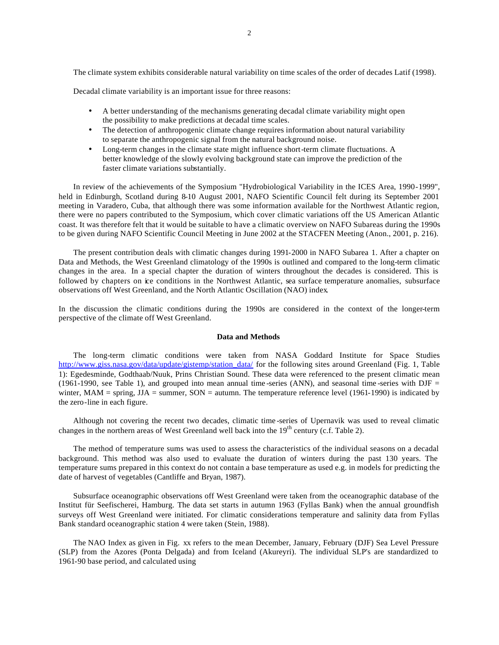The climate system exhibits considerable natural variability on time scales of the order of decades Latif (1998).

Decadal climate variability is an important issue for three reasons:

- A better understanding of the mechanisms generating decadal climate variability might open the possibility to make predictions at decadal time scales.
- The detection of anthropogenic climate change requires information about natural variability to separate the anthropogenic signal from the natural background noise.
- Long-term changes in the climate state might influence short-term climate fluctuations. A better knowledge of the slowly evolving background state can improve the prediction of the faster climate variations substantially.

In review of the achievements of the Symposium "Hydrobiological Variability in the ICES Area, 1990-1999", held in Edinburgh, Scotland during 8-10 August 2001, NAFO Scientific Council felt during its September 2001 meeting in Varadero, Cuba, that although there was some information available for the Northwest Atlantic region, there were no papers contributed to the Symposium, which cover climatic variations off the US American Atlantic coast. It was therefore felt that it would be suitable to have a climatic overview on NAFO Subareas during the 1990s to be given during NAFO Scientific Council Meeting in June 2002 at the STACFEN Meeting (Anon., 2001, p. 216).

The present contribution deals with climatic changes during 1991-2000 in NAFO Subarea 1. After a chapter on Data and Methods, the West Greenland climatology of the 1990s is outlined and compared to the long-term climatic changes in the area. In a special chapter the duration of winters throughout the decades is considered. This is followed by chapters on ice conditions in the Northwest Atlantic, sea surface temperature anomalies, subsurface observations off West Greenland, and the North Atlantic Oscillation (NAO) index.

In the discussion the climatic conditions during the 1990s are considered in the context of the longer-term perspective of the climate off West Greenland.

### **Data and Methods**

The long-term climatic conditions were taken from NASA Goddard Institute for Space Studies http://www.giss.nasa.gov/data/update/gistemp/station\_data/ for the following sites around Greenland (Fig. 1, Table 1): Egedesminde, Godthaab/Nuuk, Prins Christian Sound. These data were referenced to the present climatic mean (1961-1990, see Table 1), and grouped into mean annual time -series (ANN), and seasonal time -series with  $\text{DJF} =$ winter, MAM = spring, JJA = summer, SON = autumn. The temperature reference level (1961-1990) is indicated by the zero-line in each figure.

Although not covering the recent two decades, climatic time -series of Upernavik was used to reveal climatic changes in the northern areas of West Greenland well back into the  $19<sup>th</sup>$  century (c.f. Table 2).

The method of temperature sums was used to assess the characteristics of the individual seasons on a decadal background. This method was also used to evaluate the duration of winters during the past 130 years. The temperature sums prepared in this context do not contain a base temperature as used e.g. in models for predicting the date of harvest of vegetables (Cantliffe and Bryan, 1987).

Subsurface oceanographic observations off West Greenland were taken from the oceanographic database of the Institut für Seefischerei, Hamburg. The data set starts in autumn 1963 (Fyllas Bank) when the annual groundfish surveys off West Greenland were initiated. For climatic considerations temperature and salinity data from Fyllas Bank standard oceanographic station 4 were taken (Stein, 1988).

The NAO Index as given in Fig. xx refers to the mean December, January, February (DJF) Sea Level Pressure (SLP) from the Azores (Ponta Delgada) and from Iceland (Akureyri). The individual SLP's are standardized to 1961-90 base period, and calculated using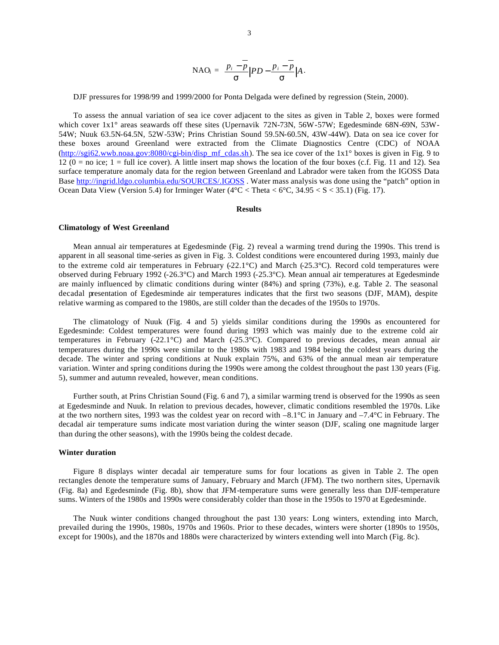$$
\text{NAO}_{i} = \frac{p_{i} - \overline{p}}{s} \Big| PD - \frac{p_{i} - \overline{p}}{s} \Big| A.
$$

DJF pressures for 1998/99 and 1999/2000 for Ponta Delgada were defined by regression (Stein, 2000).

To assess the annual variation of sea ice cover adjacent to the sites as given in Table 2, boxes were formed which cover  $1x1°$  areas seawards off these sites (Upernavik 72N-73N, 56W-57W; Egedesminde 68N-69N, 53W-54W; Nuuk 63.5N-64.5N, 52W-53W; Prins Christian Sound 59.5N-60.5N, 43W-44W). Data on sea ice cover for these boxes around Greenland were extracted from the Climate Diagnostics Centre (CDC) of NOAA (http://sgi62.wwb.noaa.gov:8080/cgi-bin/disp\_mf\_cdas.sh). The sea ice cover of the 1x1° boxes is given in Fig. 9 to  $12 (0 = no ice; 1 = full ice cover)$ . A little insert map shows the location of the four boxes (c.f. Fig. 11 and 12). Sea surface temperature anomaly data for the region between Greenland and Labrador were taken from the IGOSS Data Base http://ingrid.ldgo.columbia.edu/SOURCES/.IGOSS . Water mass analysis was done using the "patch" option in Ocean Data View (Version 5.4) for Irminger Water ( $4^{\circ}$ C < Theta <  $6^{\circ}$ C,  $34.95 < S < 35.1$ ) (Fig. 17).

### **Results**

### **Climatology of West Greenland**

Mean annual air temperatures at Egedesminde (Fig. 2) reveal a warming trend during the 1990s. This trend is apparent in all seasonal time-series as given in Fig. 3. Coldest conditions were encountered during 1993, mainly due to the extreme cold air temperatures in February (-22.1 $^{\circ}$ C) and March (-25.3 $^{\circ}$ C). Record cold temperatures were observed during February 1992 (-26.3°C) and March 1993 (-25.3°C). Mean annual air temperatures at Egedesminde are mainly influenced by climatic conditions during winter (84%) and spring (73%), e.g. Table 2. The seasonal decadal presentation of Egedesminde air temperatures indicates that the first two seasons (DJF, MAM), despite relative warming as compared to the 1980s, are still colder than the decades of the 1950s to 1970s.

The climatology of Nuuk (Fig. 4 and 5) yields similar conditions during the 1990s as encountered for Egedesminde: Coldest temperatures were found during 1993 which was mainly due to the extreme cold air temperatures in February (-22.1°C) and March (-25.3°C). Compared to previous decades, mean annual air temperatures during the 1990s were similar to the 1980s with 1983 and 1984 being the coldest years during the decade. The winter and spring conditions at Nuuk explain 75%, and 63% of the annual mean air temperature variation. Winter and spring conditions during the 1990s were among the coldest throughout the past 130 years (Fig. 5), summer and autumn revealed, however, mean conditions.

Further south, at Prins Christian Sound (Fig. 6 and 7), a similar warming trend is observed for the 1990s as seen at Egedesminde and Nuuk. In relation to previous decades, however, climatic conditions resembled the 1970s. Like at the two northern sites, 1993 was the coldest year on record with  $-8.1^{\circ}\text{C}$  in January and  $-7.4^{\circ}\text{C}$  in February. The decadal air temperature sums indicate most variation during the winter season (DJF, scaling one magnitude larger than during the other seasons), with the 1990s being the coldest decade.

### **Winter duration**

Figure 8 displays winter decadal air temperature sums for four locations as given in Table 2. The open rectangles denote the temperature sums of January, February and March (JFM). The two northern sites, Upernavik (Fig. 8a) and Egedesminde (Fig. 8b), show that JFM-temperature sums were generally less than DJF-temperature sums. Winters of the 1980s and 1990s were considerably colder than those in the 1950s to 1970 at Egedesminde.

The Nuuk winter conditions changed throughout the past 130 years: Long winters, extending into March, prevailed during the 1990s, 1980s, 1970s and 1960s. Prior to these decades, winters were shorter (1890s to 1950s, except for 1900s), and the 1870s and 1880s were characterized by winters extending well into March (Fig. 8c).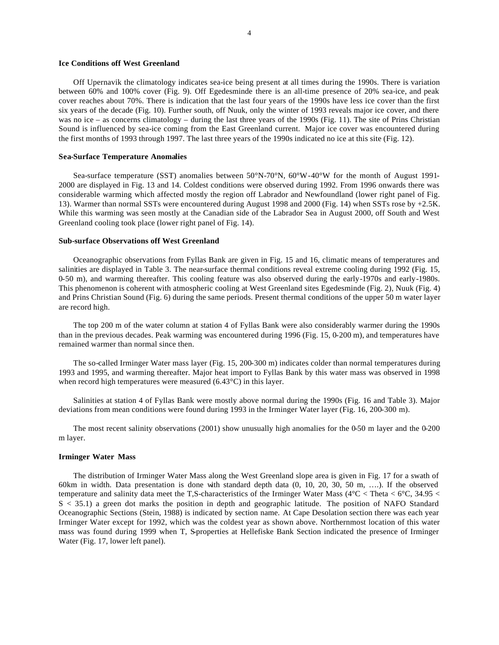### **Ice Conditions off West Greenland**

Off Upernavik the climatology indicates sea-ice being present at all times during the 1990s. There is variation between 60% and 100% cover (Fig. 9). Off Egedesminde there is an all-time presence of 20% sea-ice, and peak cover reaches about 70%. There is indication that the last four years of the 1990s have less ice cover than the first six years of the decade (Fig. 10). Further south, off Nuuk, only the winter of 1993 reveals major ice cover, and there was no ice – as concerns climatology – during the last three years of the 1990s (Fig. 11). The site of Prins Christian Sound is influenced by sea-ice coming from the East Greenland current. Major ice cover was encountered during the first months of 1993 through 1997. The last three years of the 1990s indicated no ice at this site (Fig. 12).

### **Sea-Surface Temperature Anomalies**

Sea-surface temperature (SST) anomalies between 50°N-70°N, 60°W-40°W for the month of August 1991- 2000 are displayed in Fig. 13 and 14. Coldest conditions were observed during 1992. From 1996 onwards there was considerable warming which affected mostly the region off Labrador and Newfoundland (lower right panel of Fig. 13). Warmer than normal SSTs were encountered during August 1998 and 2000 (Fig. 14) when SSTs rose by +2.5K. While this warming was seen mostly at the Canadian side of the Labrador Sea in August 2000, off South and West Greenland cooling took place (lower right panel of Fig. 14).

# **Sub-surface Observations off West Greenland**

Oceanographic observations from Fyllas Bank are given in Fig. 15 and 16, climatic means of temperatures and salinities are displayed in Table 3. The near-surface thermal conditions reveal extreme cooling during 1992 (Fig. 15, 0-50 m), and warming thereafter. This cooling feature was also observed during the early-1970s and early-1980s. This phenomenon is coherent with atmospheric cooling at West Greenland sites Egedesminde (Fig. 2), Nuuk (Fig. 4) and Prins Christian Sound (Fig. 6) during the same periods. Present thermal conditions of the upper 50 m water layer are record high.

The top 200 m of the water column at station 4 of Fyllas Bank were also considerably warmer during the 1990s than in the previous decades. Peak warming was encountered during 1996 (Fig. 15, 0-200 m), and temperatures have remained warmer than normal since then.

The so-called Irminger Water mass layer (Fig. 15, 200-300 m) indicates colder than normal temperatures during 1993 and 1995, and warming thereafter. Major heat import to Fyllas Bank by this water mass was observed in 1998 when record high temperatures were measured (6.43°C) in this layer.

Salinities at station 4 of Fyllas Bank were mostly above normal during the 1990s (Fig. 16 and Table 3). Major deviations from mean conditions were found during 1993 in the Irminger Water layer (Fig. 16, 200-300 m).

The most recent salinity observations (2001) show unusually high anomalies for the 0-50 m layer and the 0-200 m layer.

# **Irminger Water Mass**

The distribution of Irminger Water Mass along the West Greenland slope area is given in Fig. 17 for a swath of 60km in width. Data presentation is done with standard depth data (0, 10, 20, 30, 50 m, ….). If the observed temperature and salinity data meet the T,S-characteristics of the Irminger Water Mass ( $4^{\circ}$ C < Theta <  $6^{\circ}$ C, 34.95 < S < 35.1) a green dot marks the position in depth and geographic latitude. The position of NAFO Standard Oceanographic Sections (Stein, 1988) is indicated by section name. At Cape Desolation section there was each year Irminger Water except for 1992, which was the coldest year as shown above. Northernmost location of this water mass was found during 1999 when T, S-properties at Hellefiske Bank Section indicated the presence of Irminger Water (Fig. 17, lower left panel).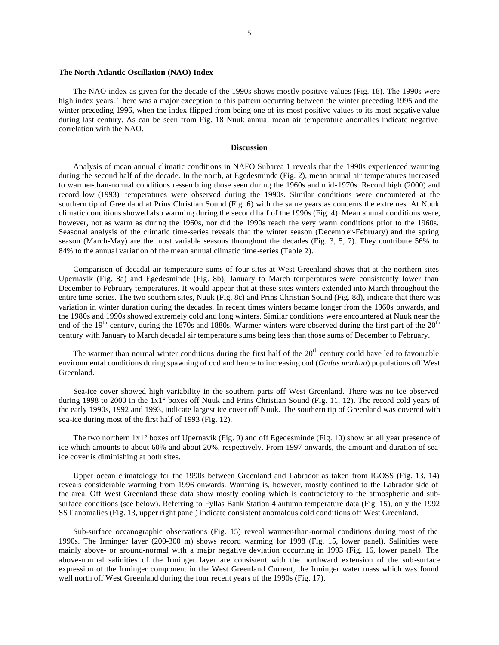### **The North Atlantic Oscillation (NAO) Index**

The NAO index as given for the decade of the 1990s shows mostly positive values (Fig. 18). The 1990s were high index years. There was a major exception to this pattern occurring between the winter preceding 1995 and the winter preceding 1996, when the index flipped from being one of its most positive values to its most negative value during last century. As can be seen from Fig. 18 Nuuk annual mean air temperature anomalies indicate negative correlation with the NAO.

### **Discussion**

Analysis of mean annual climatic conditions in NAFO Subarea 1 reveals that the 1990s experienced warming during the second half of the decade. In the north, at Egedesminde (Fig. 2), mean annual air temperatures increased to warmer-than-normal conditions ressembling those seen during the 1960s and mid-1970s. Record high (2000) and record low (1993) temperatures were observed during the 1990s. Similar conditions were encountered at the southern tip of Greenland at Prins Christian Sound (Fig. 6) with the same years as concerns the extremes. At Nuuk climatic conditions showed also warming during the second half of the 1990s (Fig. 4). Mean annual conditions were, however, not as warm as during the 1960s, nor did the 1990s reach the very warm conditions prior to the 1960s. Seasonal analysis of the climatic time-series reveals that the winter season (Decemb er-February) and the spring season (March-May) are the most variable seasons throughout the decades (Fig. 3, 5, 7). They contribute 56% to 84% to the annual variation of the mean annual climatic time-series (Table 2).

Comparison of decadal air temperature sums of four sites at West Greenland shows that at the northern sites Upernavik (Fig. 8a) and Egedesminde (Fig. 8b), January to March temperatures were consistently lower than December to February temperatures. It would appear that at these sites winters extended into March throughout the entire time -series. The two southern sites, Nuuk (Fig. 8c) and Prins Christian Sound (Fig. 8d), indicate that there was variation in winter duration during the decades. In recent times winters became longer from the 1960s onwards, and the 1980s and 1990s showed extremely cold and long winters. Similar conditions were encountered at Nuuk near the end of the 19<sup>th</sup> century, during the 1870s and 1880s. Warmer winters were observed during the first part of the 20<sup>th</sup> century with January to March decadal air temperature sums being less than those sums of December to February.

The warmer than normal winter conditions during the first half of the  $20<sup>th</sup>$  century could have led to favourable environmental conditions during spawning of cod and hence to increasing cod (*Gadus morhua*) populations off West Greenland.

Sea-ice cover showed high variability in the southern parts off West Greenland. There was no ice observed during 1998 to 2000 in the 1x1° boxes off Nuuk and Prins Christian Sound (Fig. 11, 12). The record cold years of the early 1990s, 1992 and 1993, indicate largest ice cover off Nuuk. The southern tip of Greenland was covered with sea-ice during most of the first half of 1993 (Fig. 12).

The two northern 1x1° boxes off Upernavik (Fig. 9) and off Egedesminde (Fig. 10) show an all year presence of ice which amounts to about 60% and about 20%, respectively. From 1997 onwards, the amount and duration of seaice cover is diminishing at both sites.

Upper ocean climatology for the 1990s between Greenland and Labrador as taken from IGOSS (Fig. 13, 14) reveals considerable warming from 1996 onwards. Warming is, however, mostly confined to the Labrador side of the area. Off West Greenland these data show mostly cooling which is contradictory to the atmospheric and subsurface conditions (see below). Referring to Fyllas Bank Station 4 autumn temperature data (Fig. 15), only the 1992 SST anomalies (Fig. 13, upper right panel) indicate consistent anomalous cold conditions off West Greenland.

Sub-surface oceanographic observations (Fig. 15) reveal warmer-than-normal conditions during most of the 1990s. The Irminger layer (200-300 m) shows record warming for 1998 (Fig. 15, lower panel). Salinities were mainly above- or around-normal with a major negative deviation occurring in 1993 (Fig. 16, lower panel). The above-normal salinities of the Irminger layer are consistent with the northward extension of the sub-surface expression of the Irminger component in the West Greenland Current, the Irminger water mass which was found well north off West Greenland during the four recent years of the 1990s (Fig. 17).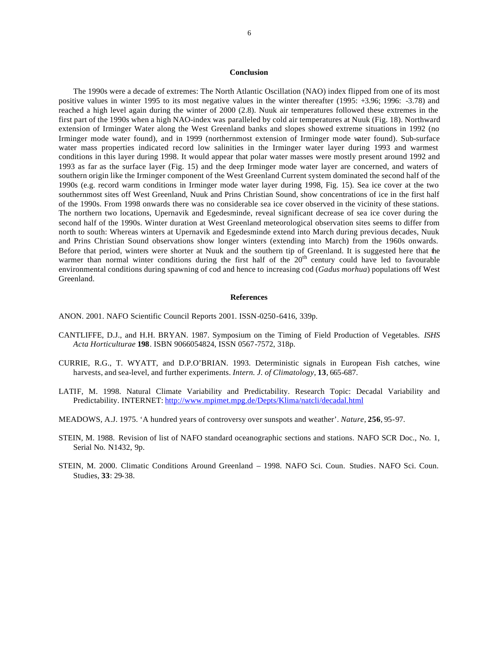### **Conclusion**

The 1990s were a decade of extremes: The North Atlantic Oscillation (NAO) index flipped from one of its most positive values in winter 1995 to its most negative values in the winter thereafter (1995: +3.96; 1996: -3.78) and reached a high level again during the winter of 2000 (2.8). Nuuk air temperatures followed these extremes in the first part of the 1990s when a high NAO-index was paralleled by cold air temperatures at Nuuk (Fig. 18). Northward extension of Irminger Water along the West Greenland banks and slopes showed extreme situations in 1992 (no Irminger mode water found), and in 1999 (northernmost extension of Irminger mode water found). Sub-surface water mass properties indicated record low salinities in the Irminger water layer during 1993 and warmest conditions in this layer during 1998. It would appear that polar water masses were mostly present around 1992 and 1993 as far as the surface layer (Fig. 15) and the deep Irminger mode water layer are concerned, and waters of southern origin like the Irminger component of the West Greenland Current system dominated the second half of the 1990s (e.g. record warm conditions in Irminger mode water layer during 1998, Fig. 15). Sea ice cover at the two southernmost sites off West Greenland, Nuuk and Prins Christian Sound, show concentrations of ice in the first half of the 1990s. From 1998 onwards there was no considerable sea ice cover observed in the vicinity of these stations. The northern two locations, Upernavik and Egedesminde, reveal significant decrease of sea ice cover during the second half of the 1990s. Winter duration at West Greenland meteorological observation sites seems to differ from north to south: Whereas winters at Upernavik and Egedesminde extend into March during previous decades, Nuuk and Prins Christian Sound observations show longer winters (extending into March) from the 1960s onwards. Before that period, winters were shorter at Nuuk and the southern tip of Greenland. It is suggested here that the warmer than normal winter conditions during the first half of the 20<sup>th</sup> century could have led to favourable environmental conditions during spawning of cod and hence to increasing cod (*Gadus morhua*) populations off West Greenland.

### **References**

ANON. 2001. NAFO Scientific Council Reports 2001. ISSN-0250-6416, 339p.

- CANTLIFFE, D.J., and H.H. BRYAN. 1987. Symposium on the Timing of Field Production of Vegetables. *ISHS Acta Horticulturae* **198**. ISBN 9066054824, ISSN 0567-7572, 318p.
- CURRIE, R.G., T. WYATT, and D.P.O'BRIAN. 1993. Deterministic signals in European Fish catches, wine harvests, and sea-level, and further experiments. *Intern. J. of Climatology*, **13**, 665-687.
- LATIF, M. 1998. Natural Climate Variability and Predictability. Research Topic: Decadal Variability and Predictability. INTERNET: http://www.mpimet.mpg.de/Depts/Klima/natcli/decadal.html
- MEADOWS, A.J. 1975. 'A hundred years of controversy over sunspots and weather'. *Nature*, **256**, 95-97.
- STEIN, M. 1988. Revision of list of NAFO standard oceanographic sections and stations. NAFO SCR Doc., No. 1, Serial No. N1432, 9p.
- STEIN, M. 2000. Climatic Conditions Around Greenland 1998. NAFO Sci. Coun. Studies*.* NAFO Sci. Coun. Studies, **33**: 29-38.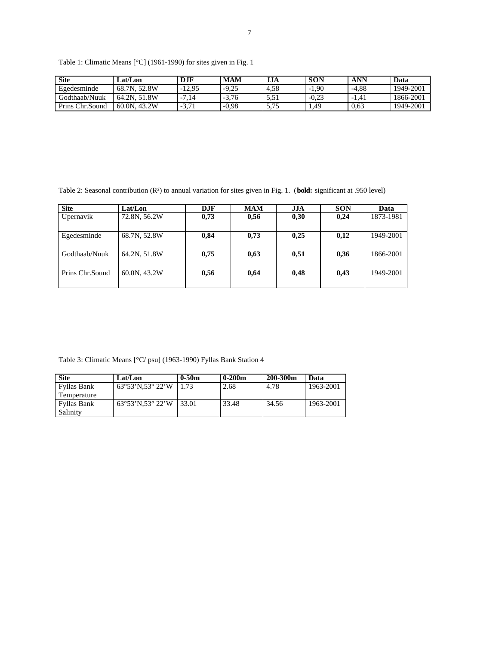Table 1: Climatic Means [°C] (1961-1990) for sites given in Fig. 1

| <b>Site</b>     | Lat/Lon              | <b>DJF</b>            | <b>MAM</b> | JJA                               | <b>SON</b> | ANN     | Data      |
|-----------------|----------------------|-----------------------|------------|-----------------------------------|------------|---------|-----------|
| Egedesminde     | 68.7N, 52.8W         | $-12,95$              | $-9,25$    | 4.58                              | $-1,90$    | $-4.88$ | 1949-2001 |
| Godthaab/Nuuk   | 64.2N, 51.8W         | .14<br>$\overline{ }$ | $-3.76$    | 1 ن.پ                             | $-0.23$    | $-1.41$ | 1866-2001 |
| Prins Chr.Sound | . 43.2W<br>$60.0N$ . | $-3.71$               | $-0.98$    | $\overline{\phantom{a}}$<br>ر اور | 1.49       | 0.63    | 1949-2001 |

Table 2: Seasonal contribution (R²) to annual variation for sites given in Fig. 1. (**bold:** significant at .950 level)

| <b>Site</b>     | Lat/Lon      | <b>DJF</b> | <b>MAM</b> | <b>JJA</b> | <b>SON</b> | Data      |
|-----------------|--------------|------------|------------|------------|------------|-----------|
| Upernavik       | 72.8N, 56.2W | 0,73       | 0,56       | 0,30       | 0,24       | 1873-1981 |
| Egedesminde     | 68.7N, 52.8W | 0,84       | 0,73       | 0,25       | 0,12       | 1949-2001 |
| Godthaab/Nuuk   | 64.2N, 51.8W | 0,75       | 0,63       | 0,51       | 0,36       | 1866-2001 |
| Prins Chr.Sound | 60.0N, 43.2W | 0,56       | 0,64       | 0,48       | 0,43       | 1949-2001 |

Table 3: Climatic Means [°C/ psu] (1963-1990) Fyllas Bank Station 4

| <b>Site</b>        | Lat/Lon                              | $0 - 50m$ | $0-200m$ | 200-300m | Data      |
|--------------------|--------------------------------------|-----------|----------|----------|-----------|
| <b>Fyllas Bank</b> | $63^{\circ}53'$ N.53 $^{\circ}$ 22'W | 1.73      | 2.68     | 4.78     | 1963-2001 |
| Temperature        |                                      |           |          |          |           |
| <b>Fyllas Bank</b> | $63^{\circ}53'$ N.53 $^{\circ}$ 22'W | 33.01     | 33.48    | 34.56    | 1963-2001 |
| Salinity           |                                      |           |          |          |           |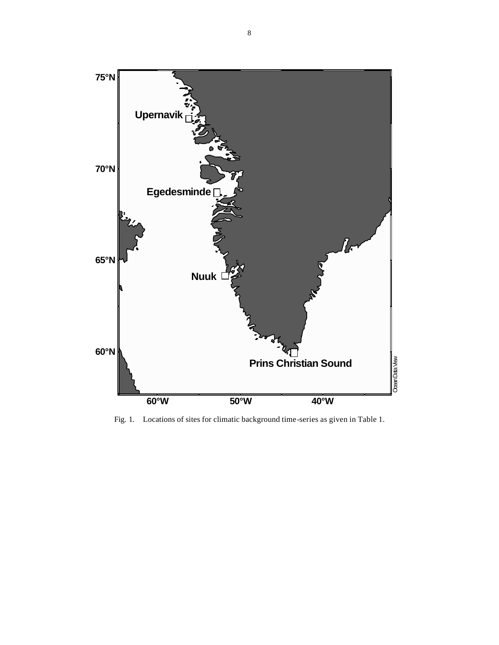

Fig. 1. Locations of sites for climatic background time-series as given in Table 1.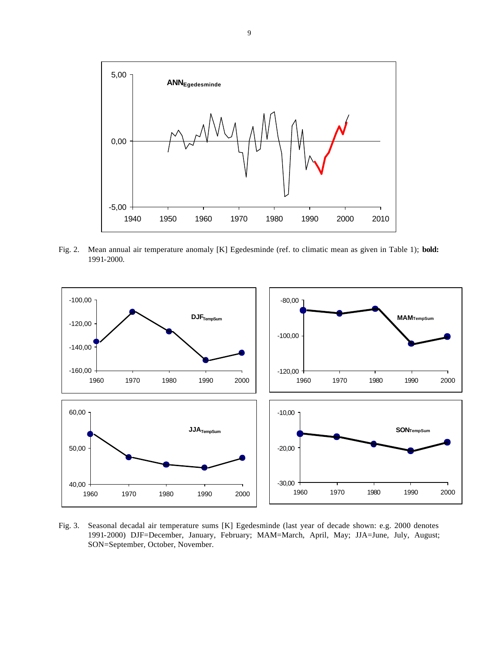

Fig. 2. Mean annual air temperature anomaly [K] Egedesminde (ref. to climatic mean as given in Table 1); **bold:** 1991-2000.



Fig. 3. Seasonal decadal air temperature sums [K] Egedesminde (last year of decade shown: e.g. 2000 denotes 1991-2000) DJF=December, January, February; MAM=March, April, May; JJA=June, July, August; SON=September, October, November.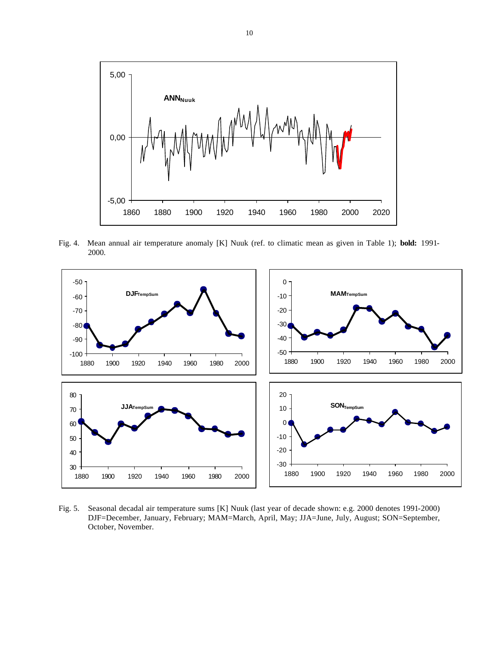

Fig. 4. Mean annual air temperature anomaly [K] Nuuk (ref. to climatic mean as given in Table 1); **bold:** 1991- 2000.



Fig. 5. Seasonal decadal air temperature sums [K] Nuuk (last year of decade shown: e.g. 2000 denotes 1991-2000) DJF=December, January, February; MAM=March, April, May; JJA=June, July, August; SON=September, October, November.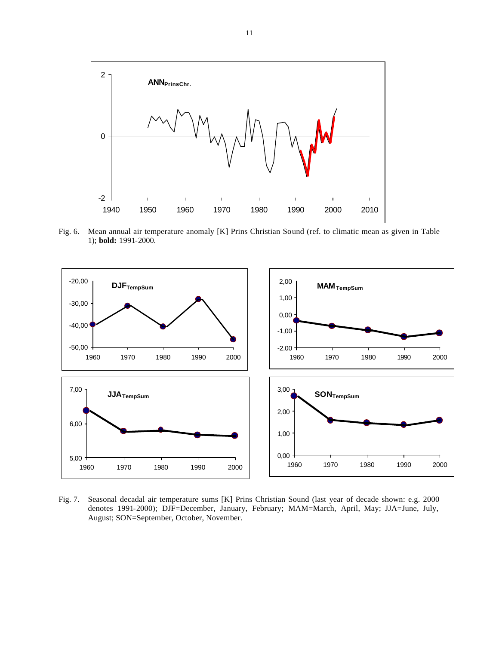

Fig. 6. Mean annual air temperature anomaly [K] Prins Christian Sound (ref. to climatic mean as given in Table 1); **bold:** 1991-2000.



Fig. 7. Seasonal decadal air temperature sums [K] Prins Christian Sound (last year of decade shown: e.g. 2000 denotes 1991-2000); DJF=December, January, February; MAM=March, April, May; JJA=June, July, August; SON=September, October, November.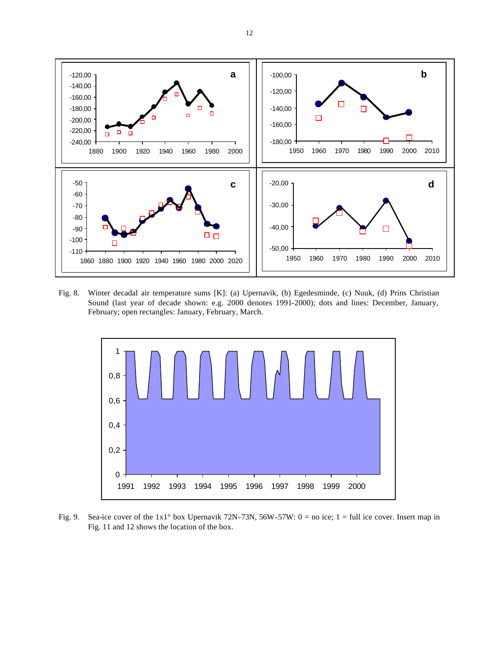

Fig. 8. Winter decadal air temperature sums [K]: (a) Upernavik, (b) Egedesminde, (c) Nuuk, (d) Prins Christian Sound (last year of decade shown: e.g. 2000 denotes 1991-2000); dots and lines: December, January, February; open rectangles: January, February, March.



Fig. 9. Sea-ice cover of the  $1x1°$  box Upernavik 72N-73N, 56W-57W: 0 = no ice; 1 = full ice cover. Insert map in Fig. 11 and 12 shows the location of the box.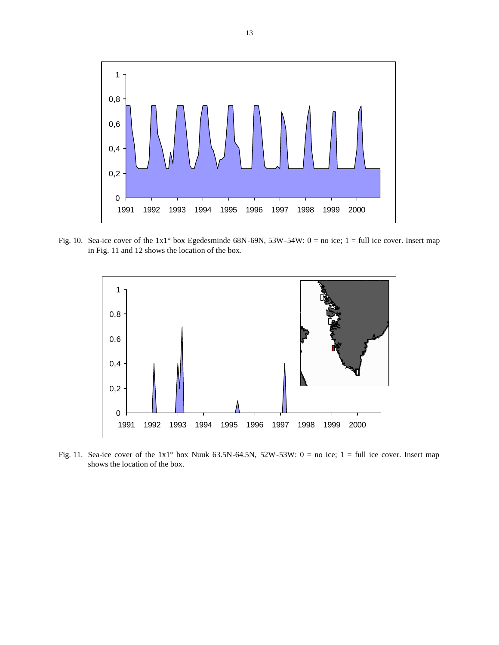

Fig. 10. Sea-ice cover of the  $1x1°$  box Egedesminde 68N-69N, 53W-54W: 0 = no ice; 1 = full ice cover. Insert map in Fig. 11 and 12 shows the location of the box.



Fig. 11. Sea-ice cover of the  $1x1°$  box Nuuk 63.5N-64.5N, 52W-53W: 0 = no ice; 1 = full ice cover. Insert map shows the location of the box.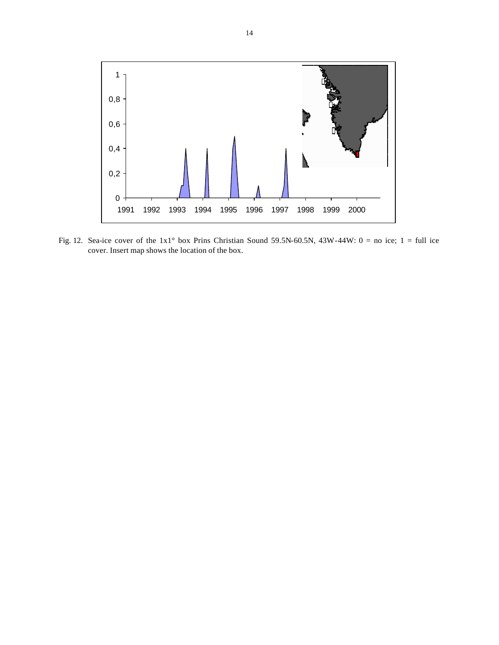

Fig. 12. Sea-ice cover of the  $1x1°$  box Prins Christian Sound 59.5N-60.5N, 43W-44W: 0 = no ice; 1 = full ice cover. Insert map shows the location of the box.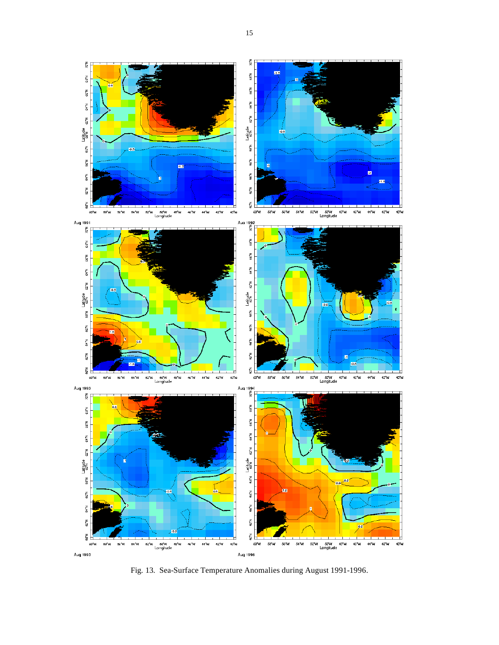

Fig. 13. Sea-Surface Temperature Anomalies during August 1991-1996.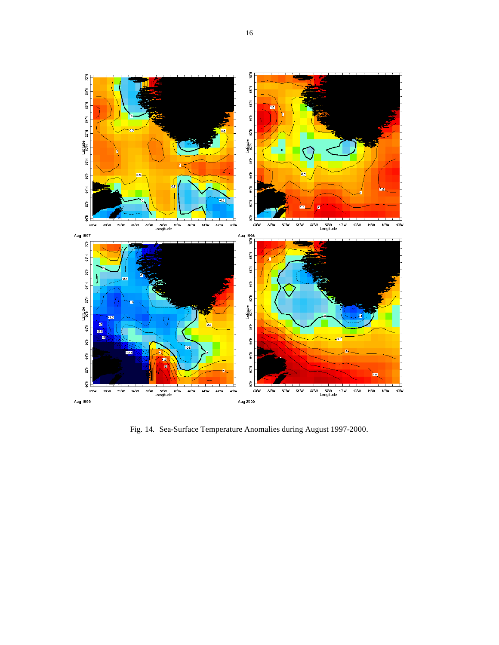

Fig. 14. Sea-Surface Temperature Anomalies during August 1997-2000.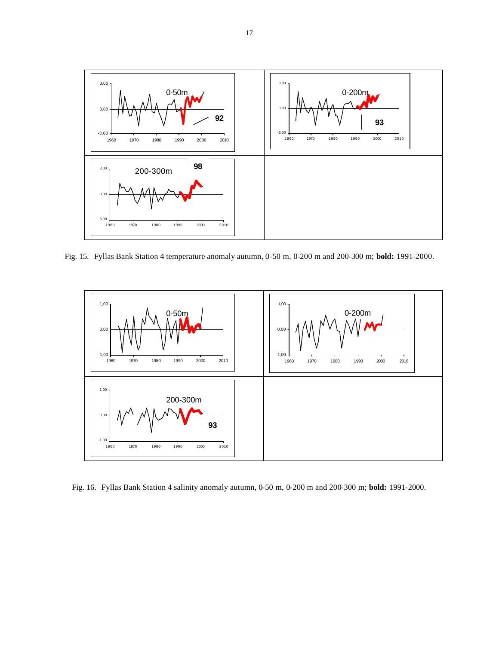

Fig. 15. Fyllas Bank Station 4 temperature anomaly autumn, 0-50 m, 0-200 m and 200-300 m; **bold:** 1991-2000.



Fig. 16. Fyllas Bank Station 4 salinity anomaly autumn, 0-50 m, 0-200 m and 200-300 m; **bold:** 1991-2000.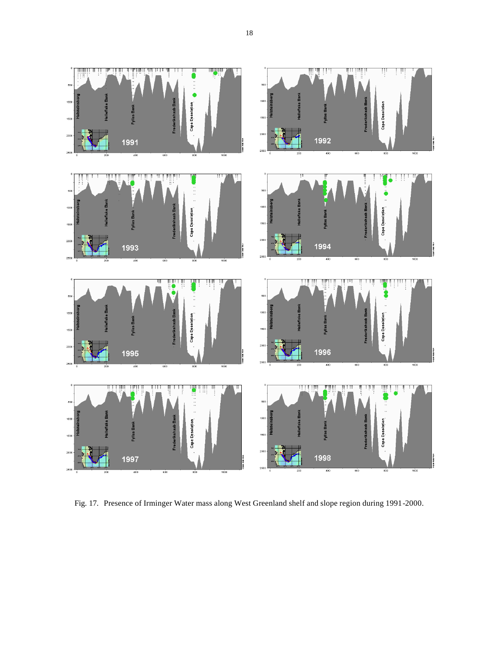

Fig. 17. Presence of Irminger Water mass along West Greenland shelf and slope region during 1991-2000.